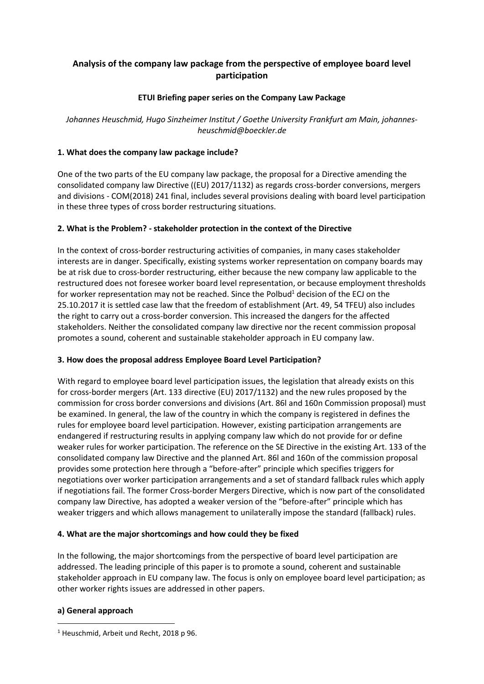# **Analysis of the company law package from the perspective of employee board level participation**

## **ETUI Briefing paper series on the Company Law Package**

*Johannes Heuschmid, Hugo Sinzheimer Institut / Goethe University Frankfurt am Main, johannesheuschmid@boeckler.de*

### **1. What does the company law package include?**

One of the two parts of the EU company law package, the proposal for a Directive amending the consolidated company law Directive ((EU) 2017/1132) as regards cross-border conversions, mergers and divisions - COM(2018) 241 final, includes several provisions dealing with board level participation in these three types of cross border restructuring situations.

## **2. What is the Problem? - stakeholder protection in the context of the Directive**

In the context of cross-border restructuring activities of companies, in many cases stakeholder interests are in danger. Specifically, existing systems worker representation on company boards may be at risk due to cross-border restructuring, either because the new company law applicable to the restructured does not foresee worker board level representation, or because employment thresholds for worker representation may not be reached. Since the Polbud $<sup>1</sup>$  decision of the ECJ on the</sup> 25.10.2017 it is settled case law that the freedom of establishment (Art. 49, 54 TFEU) also includes the right to carry out a cross-border conversion. This increased the dangers for the affected stakeholders. Neither the consolidated company law directive nor the recent commission proposal promotes a sound, coherent and sustainable stakeholder approach in EU company law.

#### **3. How does the proposal address Employee Board Level Participation?**

With regard to employee board level participation issues, the legislation that already exists on this for cross-border mergers (Art. 133 directive (EU) 2017/1132) and the new rules proposed by the commission for cross border conversions and divisions (Art. 86l and 160n Commission proposal) must be examined. In general, the law of the country in which the company is registered in defines the rules for employee board level participation. However, existing participation arrangements are endangered if restructuring results in applying company law which do not provide for or define weaker rules for worker participation. The reference on the SE Directive in the existing Art. 133 of the consolidated company law Directive and the planned Art. 86l and 160n of the commission proposal provides some protection here through a "before-after" principle which specifies triggers for negotiations over worker participation arrangements and a set of standard fallback rules which apply if negotiations fail. The former Cross-border Mergers Directive, which is now part of the consolidated company law Directive, has adopted a weaker version of the "before-after" principle which has weaker triggers and which allows management to unilaterally impose the standard (fallback) rules.

#### **4. What are the major shortcomings and how could they be fixed**

In the following, the major shortcomings from the perspective of board level participation are addressed. The leading principle of this paper is to promote a sound, coherent and sustainable stakeholder approach in EU company law. The focus is only on employee board level participation; as other worker rights issues are addressed in other papers.

#### **a) General approach**

**.** 

<sup>&</sup>lt;sup>1</sup> Heuschmid, Arbeit und Recht, 2018 p 96.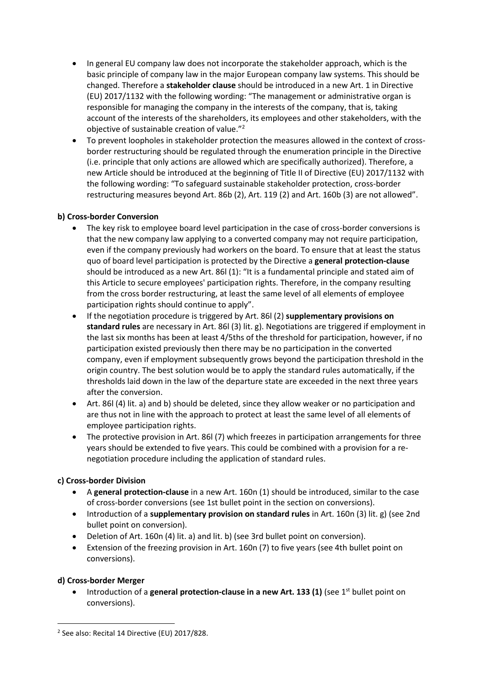- In general EU company law does not incorporate the stakeholder approach, which is the basic principle of company law in the major European company law systems. This should be changed. Therefore a **stakeholder clause** should be introduced in a new Art. 1 in Directive (EU) 2017/1132 with the following wording: "The management or administrative organ is responsible for managing the company in the interests of the company, that is, taking account of the interests of the shareholders, its employees and other stakeholders, with the objective of sustainable creation of value."<sup>2</sup>
- To prevent loopholes in stakeholder protection the measures allowed in the context of crossborder restructuring should be regulated through the enumeration principle in the Directive (i.e. principle that only actions are allowed which are specifically authorized). Therefore, a new Article should be introduced at the beginning of Title II of Directive (EU) 2017/1132 with the following wording: "To safeguard sustainable stakeholder protection, cross-border restructuring measures beyond Art. 86b (2), Art. 119 (2) and Art. 160b (3) are not allowed".

### **b) Cross-border Conversion**

- The key risk to employee board level participation in the case of cross-border conversions is that the new company law applying to a converted company may not require participation, even if the company previously had workers on the board. To ensure that at least the status quo of board level participation is protected by the Directive a **general protection-clause** should be introduced as a new Art. 86l (1): "It is a fundamental principle and stated aim of this Article to secure employees' participation rights. Therefore, in the company resulting from the cross border restructuring, at least the same level of all elements of employee participation rights should continue to apply".
- If the negotiation procedure is triggered by Art. 86l (2) **supplementary provisions on standard rules** are necessary in Art. 86l (3) lit. g). Negotiations are triggered if employment in the last six months has been at least 4/5ths of the threshold for participation, however, if no participation existed previously then there may be no participation in the converted company, even if employment subsequently grows beyond the participation threshold in the origin country. The best solution would be to apply the standard rules automatically, if the thresholds laid down in the law of the departure state are exceeded in the next three years after the conversion.
- Art. 86l (4) lit. a) and b) should be deleted, since they allow weaker or no participation and are thus not in line with the approach to protect at least the same level of all elements of employee participation rights.
- The protective provision in Art. 861 (7) which freezes in participation arrangements for three years should be extended to five years. This could be combined with a provision for a renegotiation procedure including the application of standard rules.

## **c) Cross-border Division**

- A **general protection-clause** in a new Art. 160n (1) should be introduced, similar to the case of cross-border conversions (see 1st bullet point in the section on conversions).
- Introduction of a **supplementary provision on standard rules** in Art. 160n (3) lit. g) (see 2nd bullet point on conversion).
- Deletion of Art. 160n (4) lit. a) and lit. b) (see 3rd bullet point on conversion).
- Extension of the freezing provision in Art. 160n (7) to five years (see 4th bullet point on conversions).

#### **d) Cross-border Merger**

**.** 

• Introduction of a general protection-clause in a new Art. 133 (1) (see 1<sup>st</sup> bullet point on conversions).

<sup>2</sup> See also: Recital 14 Directive (EU) 2017/828.